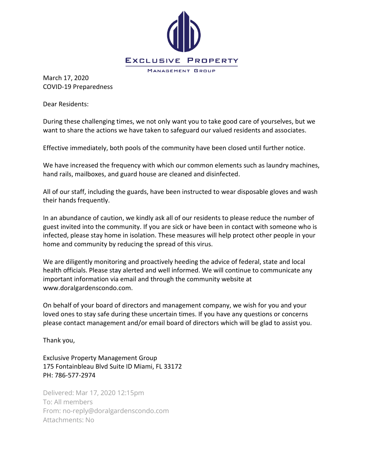

March 17, 2020 COVID-19 Preparedness

Dear Residents:

During these challenging times, we not only want you to take good care of yourselves, but we want to share the actions we have taken to safeguard our valued residents and associates.

Effective immediately, both pools of the community have been closed until further notice.

We have increased the frequency with which our common elements such as laundry machines, hand rails, mailboxes, and guard house are cleaned and disinfected.

All of our staff, including the guards, have been instructed to wear disposable gloves and wash their hands frequently.

In an abundance of caution, we kindly ask all of our residents to please reduce the number of guest invited into the community. If you are sick or have been in contact with someone who is infected, please stay home in isolation. These measures will help protect other people in your home and community by reducing the spread of this virus.

We are diligently monitoring and proactively heeding the advice of federal, state and local health officials. Please stay alerted and well informed. We will continue to communicate any important information via email and through the community website at www.doralgardenscondo.com.

On behalf of your board of directors and management company, we wish for you and your loved ones to stay safe during these uncertain times. If you have any questions or concerns please contact management and/or email board of directors which will be glad to assist you.

Thank you,

Exclusive Property Management Group 175 Fontainbleau Blvd Suite ID Miami, FL 33172 PH: 786-577-2974

Delivered: Mar 17, 2020 12:15pm To: All members From: no-reply@doralgardenscondo.com Attachments: No